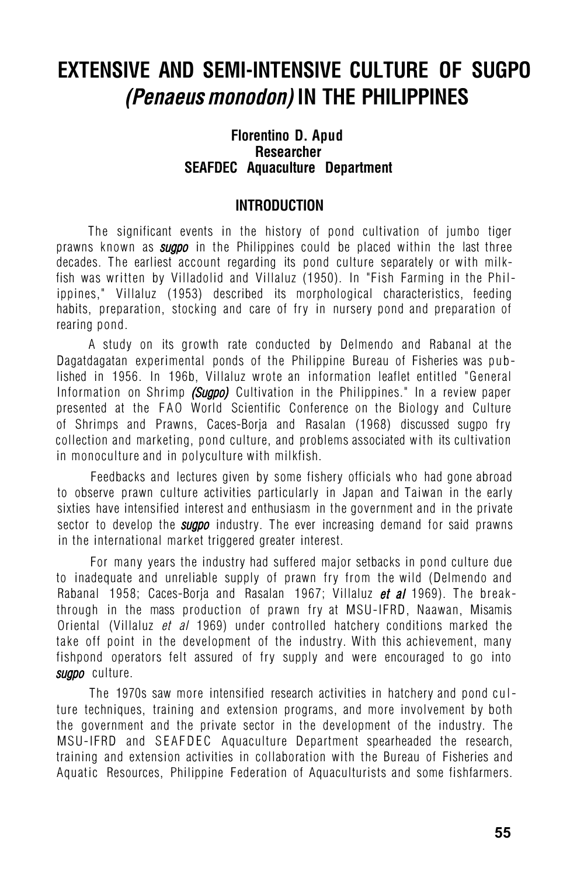# **EXTENSIVE AND SEMI-INTENSIVE CULTURE OF SUGPO**  *(Penaeus monodon)* **IN THE PHILIPPINES**

## **Florentino D. Apud Researcher SEAFDEC Aquaculture Department**

# **INTRODUCTION**

The significant events in the history of pond cultivation of jumbo tiger prawns known as *sugpo* in the Philippines could be placed within the last three decades. The earliest account regarding its pond culture separately or with milkfish was written by Villadolid and Villaluz (1950). In "Fish Farming in the Philippines," Villaluz (1953) described its morphological characteristics, feeding habits, preparation, stocking and care of fry in nursery pond and preparation of rearing pond.

A study on its growth rate conducted by Delmendo and Rabanal at the Dagatdagatan experimental ponds of the Philippine Bureau of Fisheries was published in 1956. In 196b, Villaluz wrote an information leaflet entitled "General Information on Shrimp *(Sugpo)* Cultivation in the Philippines." In a review paper presented at the FAO World Scientific Conference on the Biology and Culture of Shrimps and Prawns, Caces-Borja and Rasalan (1968) discussed sugpo fry collection and marketing, pond culture, and problems associated with its cultivation in monoculture and in polyculture with milkfish.

Feedbacks and lectures given by some fishery officials who had gone abroad to observe prawn culture activities particularly in Japan and Taiwan in the early sixties have intensified interest and enthusiasm in the government and in the private sector to develop the *sugpo* industry. The ever increasing demand for said prawns in the international market triggered greater interest.

For many years the industry had suffered major setbacks in pond culture due to inadequate and unreliable supply of prawn fry from the wild (Delmendo and Rabanal 1958; Caces-Borja and Rasalan 1967; Villaluz *et al* 1969). The breakthrough in the mass production of prawn fry at MSU-IFRD, Naawan, Misamis Oriental (Villaluz *et al* 1969) under controlled hatchery conditions marked the take off point in the development of the industry. With this achievement, many fishpond operators felt assured of fry supply and were encouraged to go into *sugpo* culture.

The 1970s saw more intensified research activities in hatchery and pond culture techniques, training and extension programs, and more involvement by both the government and the private sector in the development of the industry. The MSU-IFRD and SEAFDEC Aquaculture Department spearheaded the research, training and extension activities in collaboration with the Bureau of Fisheries and Aquatic Resources, Philippine Federation of Aquaculturists and some fishfarmers.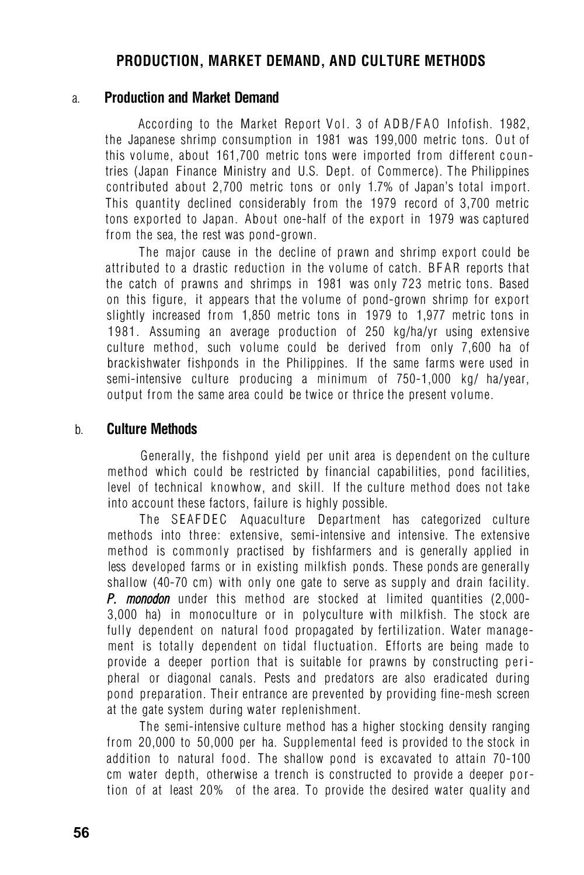# **PRODUCTION, MARKET DEMAND, AND CULTURE METHODS**

#### a. **Production and Market Demand**

According to the Market Report Vol. 3 of ADB/FAO Infofish. 1982, the Japanese shrimp consumption in 1981 was 199,000 metric tons. Out of this volume, about 161,700 metric tons were imported from different countries (Japan Finance Ministry and U.S. Dept. of Commerce). The Philippines contributed about 2,700 metric tons or only 1.7% of Japan's total import. This quantity declined considerably from the 1979 record of 3,700 metric tons exported to Japan. About one-half of the export in 1979 was captured from the sea, the rest was pond-grown.

The major cause in the decline of prawn and shrimp export could be attributed to a drastic reduction in the volume of catch. BFAR reports that the catch of prawns and shrimps in 1981 was only 723 metric tons. Based on this figure, it appears that the volume of pond-grown shrimp for export slightly increased from 1,850 metric tons in 1979 to 1,977 metric tons in 1981. Assuming an average production of 250 kg/ha/yr using extensive culture method, such volume could be derived from only 7,600 ha of brackishwater fishponds in the Philippines. If the same farms were used in semi-intensive culture producing a minimum of 750-1,000 kg/ ha/year, output from the same area could be twice or thrice the present volume.

#### b. **Culture Methods**

Generally, the fishpond yield per unit area is dependent on the culture method which could be restricted by financial capabilities, pond facilities, level of technical knowhow, and skill. If the culture method does not take into account these factors, failure is highly possible.

The SEAFDEC Aquaculture Department has categorized culture methods into three: extensive, semi-intensive and intensive. The extensive method is commonly practised by fishfarmers and is generally applied in less developed farms or in existing milkfish ponds. These ponds are generally shallow (40-70 cm) with only one gate to serve as supply and drain facility. *P. monodon* under this method are stocked at limited quantities (2,000- 3,000 ha) in monoculture or in polyculture with milkfish. The stock are fully dependent on natural food propagated by fertilization. Water management is totally dependent on tidal fluctuation. Efforts are being made to provide a deeper portion that is suitable for prawns by constructing peripheral or diagonal canals. Pests and predators are also eradicated during pond preparation. Their entrance are prevented by providing fine-mesh screen at the gate system during water replenishment.

The semi-intensive culture method has a higher stocking density ranging from 20,000 to 50,000 per ha. Supplemental feed is provided to the stock in addition to natural food. The shallow pond is excavated to attain 70-100 cm water depth, otherwise a trench is constructed to provide a deeper portion of at least 20% of the area. To provide the desired water quality and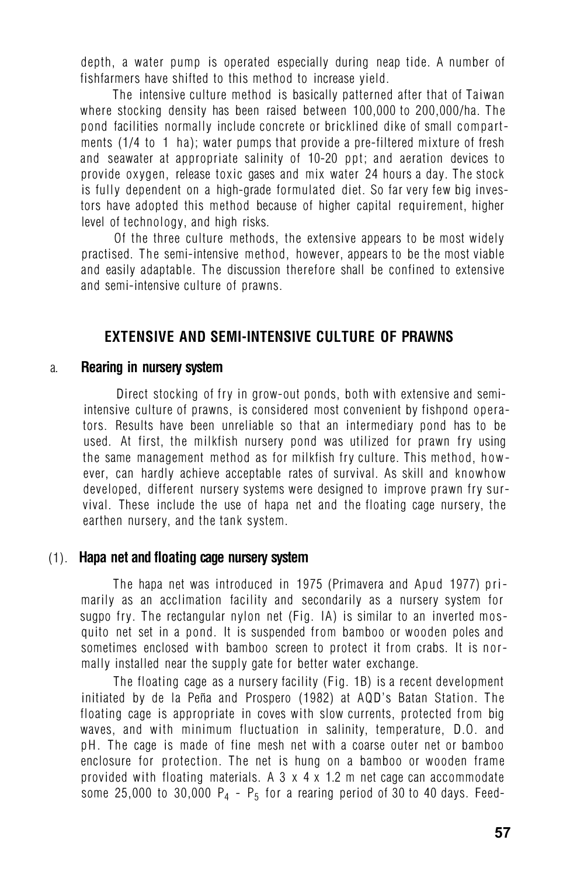depth, a water pump is operated especially during neap tide. A number of fishfarmers have shifted to this method to increase yield.

The intensive culture method is basically patterned after that of Taiwan where stocking density has been raised between 100,000 to 200,000/ha. The pond facilities normally include concrete or bricklined dike of small compartments (1/4 to 1 ha); water pumps that provide a pre-filtered mixture of fresh and seawater at appropriate salinity of 10-20 ppt; and aeration devices to provide oxygen, release toxic gases and mix water 24 hours a day. The stock is fully dependent on a high-grade formulated diet. So far very few big investors have adopted this method because of higher capital requirement, higher level of technology, and high risks.

Of the three culture methods, the extensive appears to be most widely practised. The semi-intensive method, however, appears to be the most viable and easily adaptable. The discussion therefore shall be confined to extensive and semi-intensive culture of prawns.

# **EXTENSIVE AND SEMI-INTENSIVE CULTURE OF PRAWNS**

#### a. **Rearing in nursery system**

Direct stocking of fry in grow-out ponds, both with extensive and semiintensive culture of prawns, is considered most convenient by fishpond operators. Results have been unreliable so that an intermediary pond has to be used. At first, the milkfish nursery pond was utilized for prawn fry using the same management method as for milkfish fry culture. This method, however, can hardly achieve acceptable rates of survival. As skill and knowhow developed, different nursery systems were designed to improve prawn fry survival. These include the use of hapa net and the floating cage nursery, the earthen nursery, and the tank system.

#### (1). **Hapa net and floating cage nursery system**

The hapa net was introduced in 1975 (Primavera and Apud 1977) primarily as an acclimation facility and secondarily as a nursery system for sugpo fry. The rectangular nylon net (Fig. IA) is similar to an inverted mosquito net set in a pond. It is suspended from bamboo or wooden poles and sometimes enclosed with bamboo screen to protect it from crabs. It is normally installed near the supply gate for better water exchange.

The floating cage as a nursery facility (Fig. 1B) is a recent development initiated by de la Peña and Prospero (1982) at AQD's Batan Station. The floating cage is appropriate in coves with slow currents, protected from big waves, and with minimum fluctuation in salinity, temperature, D.O. and pH. The cage is made of fine mesh net with a coarse outer net or bamboo enclosure for protection. The net is hung on a bamboo or wooden frame provided with floating materials. A  $3 \times 4 \times 1.2$  m net cage can accommodate some 25,000 to 30,000  $P_4$  -  $P_5$  for a rearing period of 30 to 40 days. Feed-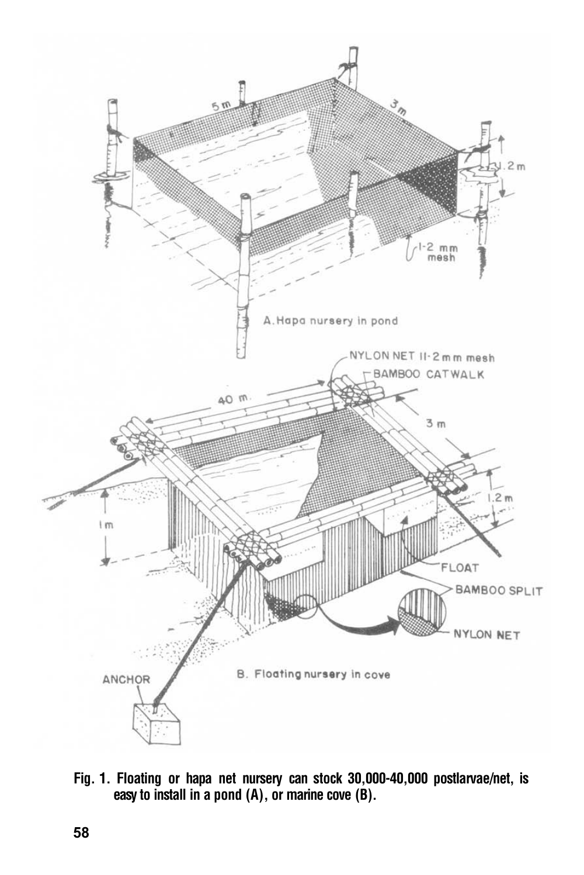

**Fig. 1. Floating or hapa net nursery can stock 30,000-40,000 postlarvae/net, is easy to install in a pond (A), or marine cove (B).**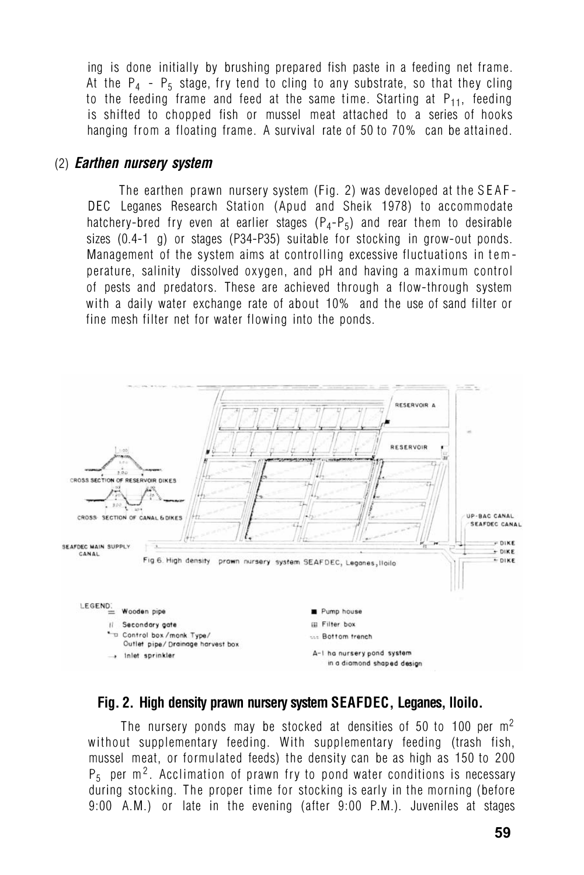ing is done initially by brushing prepared fish paste in a feeding net frame. At the  $P_4$  -  $P_5$  stage, fry tend to cling to any substrate, so that they cling to the feeding frame and feed at the same time. Starting at  $P_{11}$ , feeding is shifted to chopped fish or mussel meat attached to a series of hooks hanging from a floating frame. A survival rate of 50 to 70% can be attained.

#### (2) *Earthen nursery system*

The earthen prawn nursery system (Fig. 2) was developed at the SEAF-DEC Leganes Research Station (Apud and Sheik 1978) to accommodate hatchery-bred fry even at earlier stages  $(P_4-P_5)$  and rear them to desirable sizes (0.4-1 g) or stages (P34-P35) suitable for stocking in grow-out ponds. Management of the system aims at controlling excessive fluctuations in temperature, salinity dissolved oxygen, and pH and having a maximum control of pests and predators. These are achieved through a flow-through system with a daily water exchange rate of about 10% and the use of sand filter or fine mesh filter net for water flowing into the ponds.



## **Fig. 2. High density prawn nursery system SEAFDEC, Leganes, lloilo.**

The nursery ponds may be stocked at densities of 50 to 100 per m<sup>2</sup> without supplementary feeding. With supplementary feeding (trash fish, mussel meat, or formulated feeds) the density can be as high as 150 to 200  $P_5$  per m<sup>2</sup>. Acclimation of prawn fry to pond water conditions is necessary during stocking. The proper time for stocking is early in the morning (before 9:00 A.M.) or late in the evening (after 9:00 P.M.). Juveniles at stages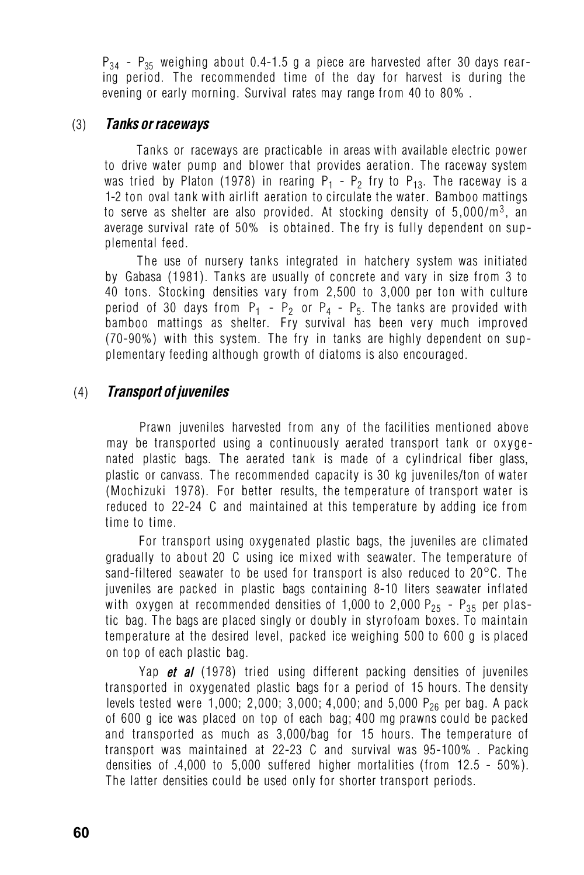$P_{34}$  -  $P_{35}$  weighing about 0.4-1.5 g a piece are harvested after 30 days rearing period. The recommended time of the day for harvest is during the evening or early morning. Survival rates may range from 40 to 80% .

#### (3) *Tanks or raceways*

Tanks or raceways are practicable in areas with available electric power to drive water pump and blower that provides aeration. The raceway system was tried by Platon (1978) in rearing  $P_1 - P_2$  fry to  $P_{13}$ . The raceway is a 1-2 ton oval tank with airlift aeration to circulate the water. Bamboo mattings to serve as shelter are also provided. At stocking density of 5.000/m<sup>3</sup>, an average survival rate of 50% is obtained. The fry is fully dependent on supplemental feed.

The use of nursery tanks integrated in hatchery system was initiated by Gabasa (1981). Tanks are usually of concrete and vary in size from 3 to 40 tons. Stocking densities vary from 2,500 to 3,000 per ton with culture period of 30 days from  $P_1 - P_2$  or  $P_4 - P_5$ . The tanks are provided with bamboo mattings as shelter. Fry survival has been very much improved (70-90%) with this system. The fry in tanks are highly dependent on supplementary feeding although growth of diatoms is also encouraged.

## (4) *Transport of juveniles*

Prawn juveniles harvested from any of the facilities mentioned above may be transported using a continuously aerated transport tank or oxygenated plastic bags. The aerated tank is made of a cylindrical fiber glass, plastic or canvass. The recommended capacity is 30 kg juveniles/ton of water (Mochizuki 1978). For better results, the temperature of transport water is reduced to 22-24 C and maintained at this temperature by adding ice from time to time.

For transport using oxygenated plastic bags, the juveniles are climated gradually to about 20°C using ice mixed with seawater. The temperature of sand-filtered seawater to be used for transport is also reduced to 20°C. The juveniles are packed in plastic bags containing 8-10 liters seawater inflated with oxygen at recommended densities of 1,000 to 2,000  $P_{25}$  -  $P_{35}$  per plastic bag. The bags are placed singly or doubly in styrofoam boxes. To maintain temperature at the desired level, packed ice weighing 500 to 600 g is placed on top of each plastic bag.

Yap *et al* (1978) tried using different packing densities of juveniles transported in oxygenated plastic bags for a period of 15 hours. The density levels tested were 1,000; 2,000; 3,000; 4,000; and 5,000  $P_{26}$  per bag. A pack of 600 g ice was placed on top of each bag; 400 mg prawns could be packed and transported as much as 3,000/bag for 15 hours. The temperature of transport was maintained at 22-23°C and survival was 95-100% . Packing densities of .4,000 to 5,000 suffered higher mortalities (from 12.5 - 50%). The latter densities could be used only for shorter transport periods.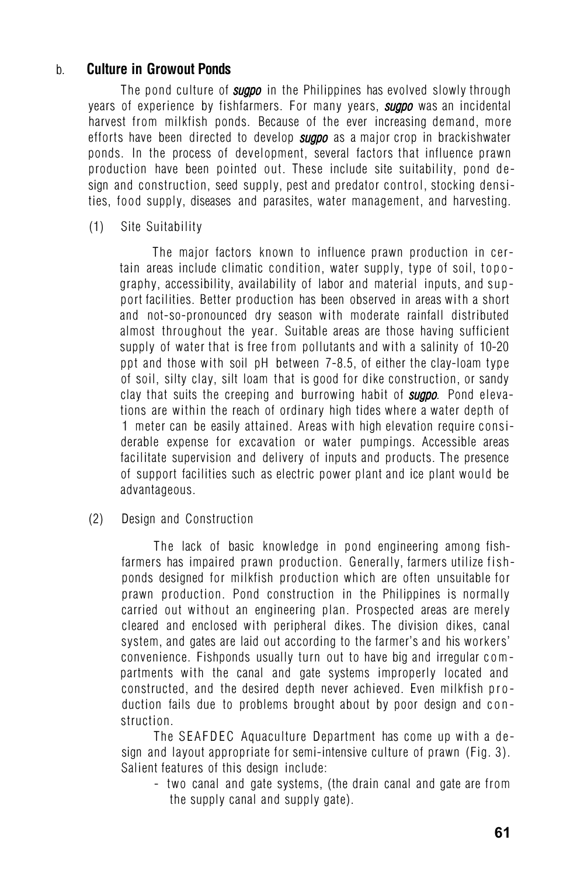## b. **Culture in Growout Ponds**

The pond culture of *sugpo* in the Philippines has evolved slowly through years of experience by fishfarmers. For many years, *sugpo* was an incidental harvest from milkfish ponds. Because of the ever increasing demand, more efforts have been directed to develop *sugpo* as a major crop in brackishwater ponds. In the process of development, several factors that influence prawn production have been pointed out. These include site suitability, pond design and construction, seed supply, pest and predator control, stocking densities, food supply, diseases and parasites, water management, and harvesting.

(1) Site Suitability

The major factors known to influence prawn production in certain areas include climatic condition, water supply, type of soil, topography, accessibility, availability of labor and material inputs, and support facilities. Better production has been observed in areas with a short and not-so-pronounced dry season with moderate rainfall distributed almost throughout the year. Suitable areas are those having sufficient supply of water that is free from pollutants and with a salinity of 10-20 ppt and those with soil pH between 7-8.5, of either the clay-loam type of soil, silty clay, silt loam that is good for dike construction, or sandy clay that suits the creeping and burrowing habit of *sugpo.* Pond elevations are within the reach of ordinary high tides where a water depth of 1 meter can be easily attained. Areas with high elevation require considerable expense for excavation or water pumpings. Accessible areas facilitate supervision and delivery of inputs and products. The presence of support facilities such as electric power plant and ice plant would be advantageous.

#### (2) Design and Construction

The lack of basic knowledge in pond engineering among fishfarmers has impaired prawn production. Generally, farmers utilize fishponds designed for milkfish production which are often unsuitable for prawn production. Pond construction in the Philippines is normally carried out without an engineering plan. Prospected areas are merely cleared and enclosed with peripheral dikes. The division dikes, canal system, and gates are laid out according to the farmer's and his workers' convenience. Fishponds usually turn out to have big and irregular compartments with the canal and gate systems improperly located and constructed, and the desired depth never achieved. Even milkfish production fails due to problems brought about by poor design and construction.

The SEAFDEC Aquaculture Department has come up with a design and layout appropriate for semi-intensive culture of prawn (Fig. 3). Salient features of this design include:

- two canal and gate systems, (the drain canal and gate are from the supply canal and supply gate).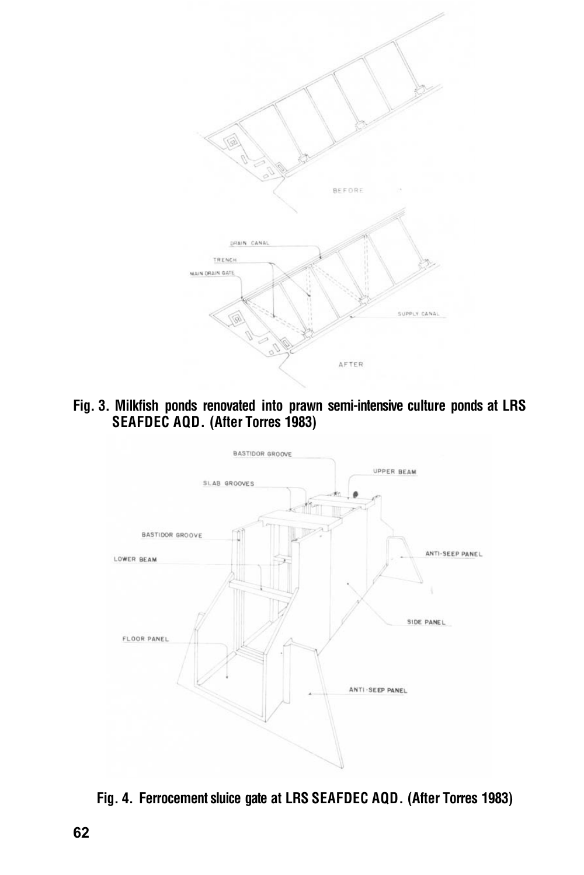

**Fig. 3. Milkfish ponds renovated into prawn semi-intensive culture ponds at LRS SEAFDEC AQD. (After Torres 1983)** 



**Fig. 4. Ferrocement sluice gate at LRS SEAFDEC AQD. (After Torres 1983)**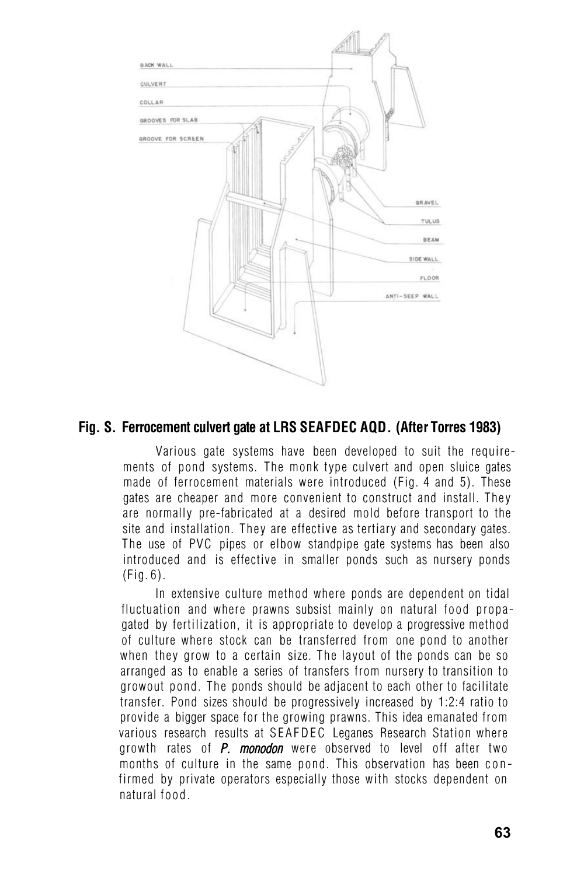

## **Fig. S. Ferrocement culvert gate at LRS SEAFDEC AQD. (After Torres 1983)**

Various gate systems have been developed to suit the requirements of pond systems. The monk type culvert and open sluice gates made of ferrocement materials were introduced (Fig. 4 and 5). These gates are cheaper and more convenient to construct and install. They are normally pre-fabricated at a desired mold before transport to the site and installation. They are effective as tertiary and secondary gates. The use of PVC pipes or elbow standpipe gate systems has been also introduced and is effective in smaller ponds such as nursery ponds  $(Fia, 6)$ .

In extensive culture method where ponds are dependent on tidal fluctuation and where prawns subsist mainly on natural food propagated by fertilization, it is appropriate to develop a progressive method of culture where stock can be transferred from one pond to another when they grow to a certain size. The layout of the ponds can be so arranged as to enable a series of transfers from nursery to transition to growout pond. The ponds should be adjacent to each other to facilitate transfer. Pond sizes should be progressively increased by 1:2:4 ratio to provide a bigger space for the growing prawns. This idea emanated from various research results at SEAFDEC Leganes Research Station where growth rates of *P. monodon* were observed to level off after two months of culture in the same pond. This observation has been confirmed by private operators especially those with stocks dependent on natural food.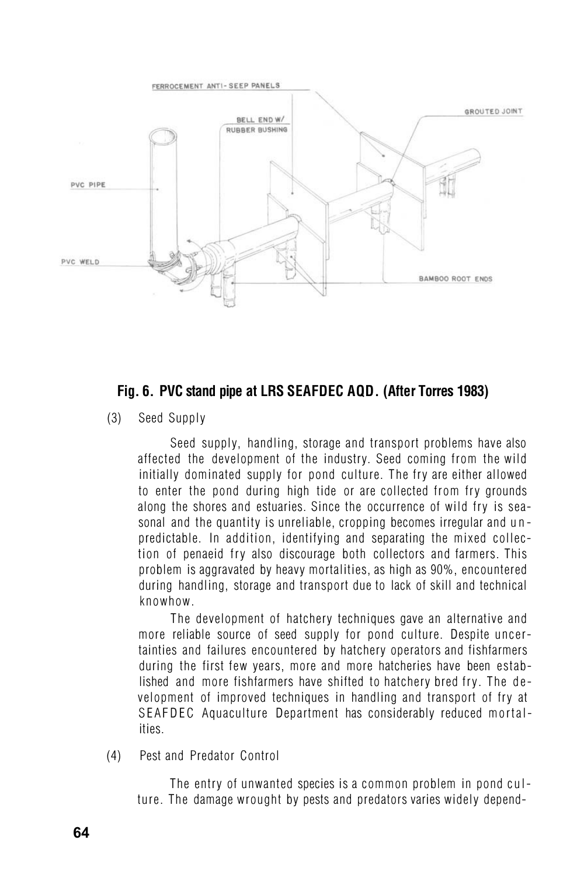

# **Fig. 6. PVC stand pipe at LRS SEAFDEC AQD. (After Torres 1983)**

(3) Seed Supply

Seed supply, handling, storage and transport problems have also affected the development of the industry. Seed coming from the wild initially dominated supply for pond culture. The fry are either allowed to enter the pond during high tide or are collected from fry grounds along the shores and estuaries. Since the occurrence of wild fry is seasonal and the quantity is unreliable, cropping becomes irregular and u n predictable. In addition, identifying and separating the mixed collection of penaeid fry also discourage both collectors and farmers. This problem is aggravated by heavy mortalities, as high as 90%, encountered during handling, storage and transport due to lack of skill and technical knowhow.

The development of hatchery techniques gave an alternative and more reliable source of seed supply for pond culture. Despite uncertainties and failures encountered by hatchery operators and fishfarmers during the first few years, more and more hatcheries have been established and more fishfarmers have shifted to hatchery bred fry. The development of improved techniques in handling and transport of fry at SEAFDEC Aquaculture Department has considerably reduced mortalities.

(4) Pest and Predator Control

The entry of unwanted species is a common problem in pond culture. The damage wrought by pests and predators varies widely depend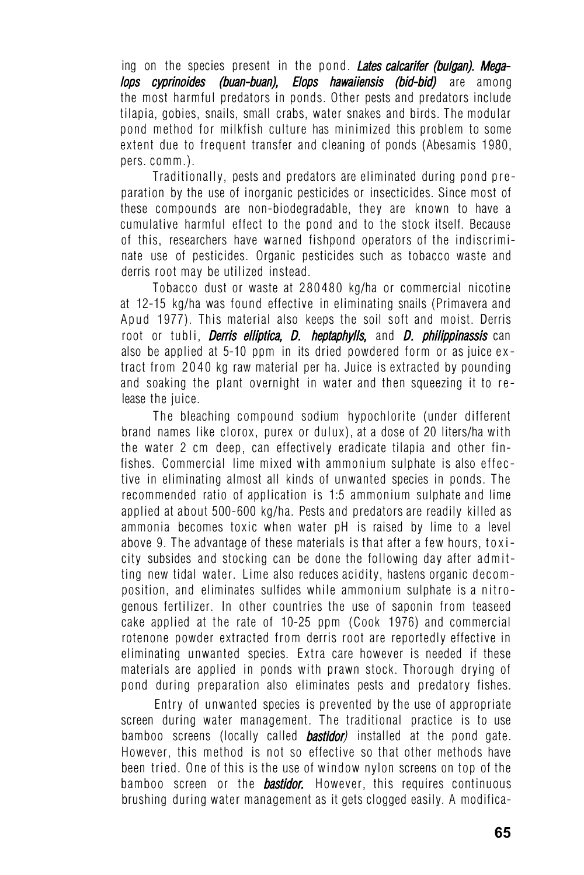ing on the species present in the pond. *Lates calcarifer (bulgan). Megalops cyprinoides (buan-buan), Elops hawaiiensis (bid-bid)* are among the most harmful predators in ponds. Other pests and predators include tilapia, gobies, snails, small crabs, water snakes and birds. The modular pond method for milkfish culture has minimized this problem to some extent due to frequent transfer and cleaning of ponds (Abesamis 1980, pers. comm.).

Traditionally, pests and predators are eliminated during pond preparation by the use of inorganic pesticides or insecticides. Since most of these compounds are non-biodegradable, they are known to have a cumulative harmful effect to the pond and to the stock itself. Because of this, researchers have warned fishpond operators of the indiscriminate use of pesticides. Organic pesticides such as tobacco waste and derris root may be utilized instead.

Tobacco dust or waste at 280480 kg/ha or commercial nicotine at 12-15 kg/ha was found effective in eliminating snails (Primavera and Apud 1977). This material also keeps the soil soft and moist. Derris root or tubli, *Derris elliptica, D. heptaphylls,* and *D. philippinassis* can also be applied at 5-10 ppm in its dried powdered form or as juice extract from 2040 kg raw material per ha. Juice is extracted by pounding and soaking the plant overnight in water and then squeezing it to release the juice.

The bleaching compound sodium hypochlorite (under different brand names like clorox, purex or dulux), at a dose of 20 liters/ha with the water 2 cm deep, can effectively eradicate tilapia and other finfishes. Commercial lime mixed with ammonium sulphate is also effective in eliminating almost all kinds of unwanted species in ponds. The recommended ratio of application is 1:5 ammonium sulphate and lime applied at about 500-600 kg/ha. Pests and predators are readily killed as ammonia becomes toxic when water pH is raised by lime to a level above 9. The advantage of these materials is that after a few hours, toxicity subsides and stocking can be done the following day after admitting new tidal water. Lime also reduces acidity, hastens organic decomposition, and eliminates sulfides while ammonium sulphate is a nitrogenous fertilizer. In other countries the use of saponin from teaseed cake applied at the rate of 10-25 ppm (Cook 1976) and commercial rotenone powder extracted from derris root are reportedly effective in eliminating unwanted species. Extra care however is needed if these materials are applied in ponds with prawn stock. Thorough drying of pond during preparation also eliminates pests and predatory fishes.

Entry of unwanted species is prevented by the use of appropriate screen during water management. The traditional practice is to use bamboo screens (locally called *bastidor)* installed at the pond gate. However, this method is not so effective so that other methods have been tried. One of this is the use of window nylon screens on top of the bamboo screen or the *bastidor.* However, this requires continuous brushing during water management as it gets clogged easily. A modifica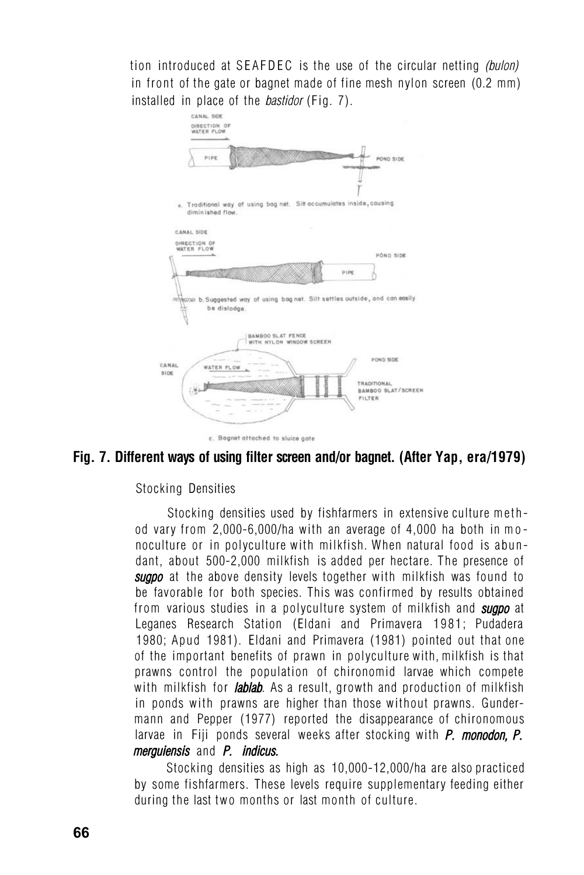tion introduced at SEAFDEC is the use of the circular netting *(bulon)* in front of the gate or bagnet made of fine mesh nylon screen (0.2 mm) installed in place of the *bastidor* (Fig. 7).



# **Fig. 7. Different ways of using filter screen and/or bagnet. (After Yap, era/1979)**

#### Stocking Densities

Stocking densities used by fishfarmers in extensive culture method vary from 2,000-6,000/ha with an average of 4,000 ha both in mo noculture or in polyculture with milkfish. When natural food is abundant, about 500-2,000 milkfish is added per hectare. The presence of *sugpo* at the above density levels together with milkfish was found to be favorable for both species. This was confirmed by results obtained from various studies in a polyculture system of milkfish and *sugpo* at Leganes Research Station (Eldani and Primavera 1981; Pudadera 1980; Apud 1981). Eldani and Primavera (1981) pointed out that one of the important benefits of prawn in polyculture with, milkfish is that prawns control the population of chironomid larvae which compete with milkfish for *lablab.* As a result, growth and production of milkfish in ponds with prawns are higher than those without prawns. Gundermann and Pepper (1977) reported the disappearance of chironomous larvae in Fiji ponds several weeks after stocking with *P. monodon, P. merguiensis* and *P. indicus.*

Stocking densities as high as 10,000-12,000/ha are also practiced by some fishfarmers. These levels require supplementary feeding either during the last two months or last month of culture.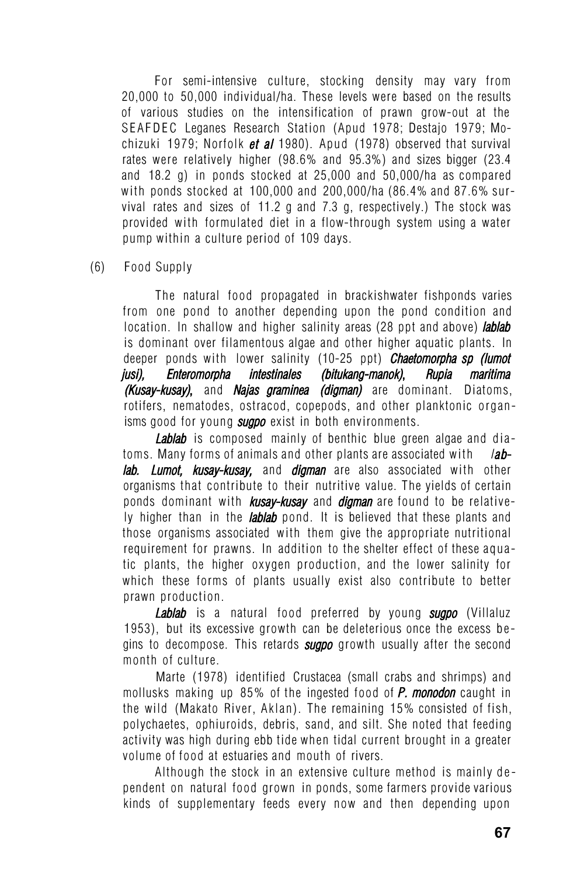For semi-intensive culture, stocking density may vary from 20,000 to 50,000 individual/ha. These levels were based on the results of various studies on the intensification of prawn grow-out at the SEAFDEC Leganes Research Station (Apud 1978; Destajo 1979; Mochizuki 1979; Norfolk *et al* 1980). Apud (1978) observed that survival rates were relatively higher (98.6% and 95.3%) and sizes bigger (23.4 and 18.2 g) in ponds stocked at 25,000 and 50,000/ha as compared with ponds stocked at 100,000 and 200,000/ha (86.4% and 87.6% survival rates and sizes of 11.2 g and 7.3 g, respectively.) The stock was provided with formulated diet in a flow-through system using a water pump within a culture period of 109 days.

(6) Food Supply

The natural food propagated in brackishwater fishponds varies from one pond to another depending upon the pond condition and location. In shallow and higher salinity areas (28 ppt and above) *lablab* is dominant over filamentous algae and other higher aquatic plants. In deeper ponds with lower salinity (10-25 ppt) *Chaetomorpha sp (lumot jusi), Enteromorpha intestinales (bitukang-manok)***,** *Rupia maritima (Kusay-kusay)***,** and *Najas graminea (digman)* are dominant. Diatoms, rotifers, nematodes, ostracod, copepods, and other planktonic organisms good for young *sugpo* exist in both environments.

*Lablab* is composed mainly of benthic blue green algae and diatoms. Many forms of animals and other plants are associated with *<sup>l</sup>ab**lab. Lumot, kusay-kusay,* and *digman* are also associated with other organisms that contribute to their nutritive value. The yields of certain ponds dominant with *kusay-kusay* and *digman* are found to be relatively higher than in the *lablab* pond. It is believed that these plants and those organisms associated with them give the appropriate nutritional requirement for prawns. In addition to the shelter effect of these aquatic plants, the higher oxygen production, and the lower salinity for which these forms of plants usually exist also contribute to better prawn production.

*Lablab* is a natural food preferred by young *sugpo* (Villaluz 1953), but its excessive growth can be deleterious once the excess be gins to decompose. This retards *sugpo* growth usually after the second month of culture.

Marte (1978) identified Crustacea (small crabs and shrimps) and mollusks making up 85% of the ingested food of *P. monodon* caught in the wild (Makato River, Aklan). The remaining 15% consisted of fish, polychaetes, ophiuroids, debris, sand, and silt. She noted that feeding activity was high during ebb tide when tidal current brought in a greater volume of food at estuaries and mouth of rivers.

Although the stock in an extensive culture method is mainly dependent on natural food grown in ponds, some farmers provide various kinds of supplementary feeds every now and then depending upon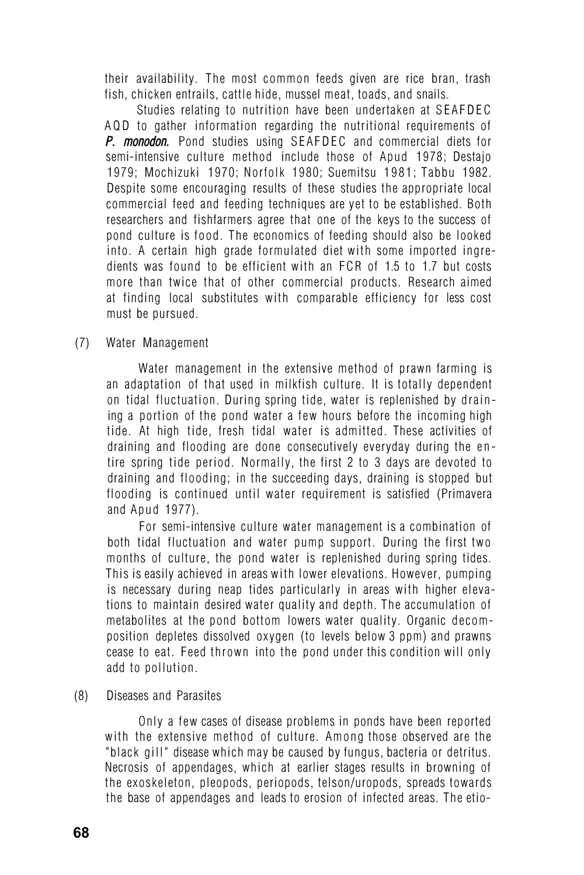their availability. The most common feeds given are rice bran, trash fish, chicken entrails, cattle hide, mussel meat, toads, and snails.

Studies relating to nutrition have been undertaken at SEAFDEC AQD to gather information regarding the nutritional requirements of *P. monodon.* Pond studies using SEAFDEC and commercial diets for semi-intensive culture method include those of Apud 1978; Destajo 1979; Mochizuki 1970; Norfolk 1980; Suemitsu 1981; Tabbu 1982. Despite some encouraging results of these studies the appropriate local commercial feed and feeding techniques are yet to be established. Both researchers and fishfarmers agree that one of the keys to the success of pond culture is food. The economics of feeding should also be looked into. A certain high grade formulated diet with some imported ingredients was found to be efficient with an FCR of 1.5 to 1.7 but costs more than twice that of other commercial products. Research aimed at finding local substitutes with comparable efficiency for less cost must be pursued.

#### (7) Water Management

Water management in the extensive method of prawn farming is an adaptation of that used in milkfish culture. It is totally dependent on tidal fluctuation. During spring tide, water is replenished by draining a portion of the pond water a few hours before the incoming high tide. At high tide, fresh tidal water is admitted. These activities of draining and flooding are done consecutively everyday during the en tire spring tide period. Normally, the first 2 to 3 days are devoted to draining and flooding; in the succeeding days, draining is stopped but flooding is continued until water requirement is satisfied (Primavera and Apud 1977).

For semi-intensive culture water management is a combination of both tidal fluctuation and water pump support. During the first two months of culture, the pond water is replenished during spring tides. This is easily achieved in areas with lower elevations. However, pumping is necessary during neap tides particularly in areas with higher elevations to maintain desired water quality and depth. The accumulation of metabolites at the pond bottom lowers water quality. Organic decomposition depletes dissolved oxygen (to levels below 3 ppm) and prawns cease to eat. Feed thrown into the pond under this condition will only add to pollution.

(8) Diseases and Parasites

Only a few cases of disease problems in ponds have been reported with the extensive method of culture. Among those observed are the "black gill" disease which may be caused by fungus, bacteria or detritus. Necrosis of appendages, which at earlier stages results in browning of the exoskeleton, pleopods, periopods, telson/uropods, spreads towards the base of appendages and leads to erosion of infected areas. The etio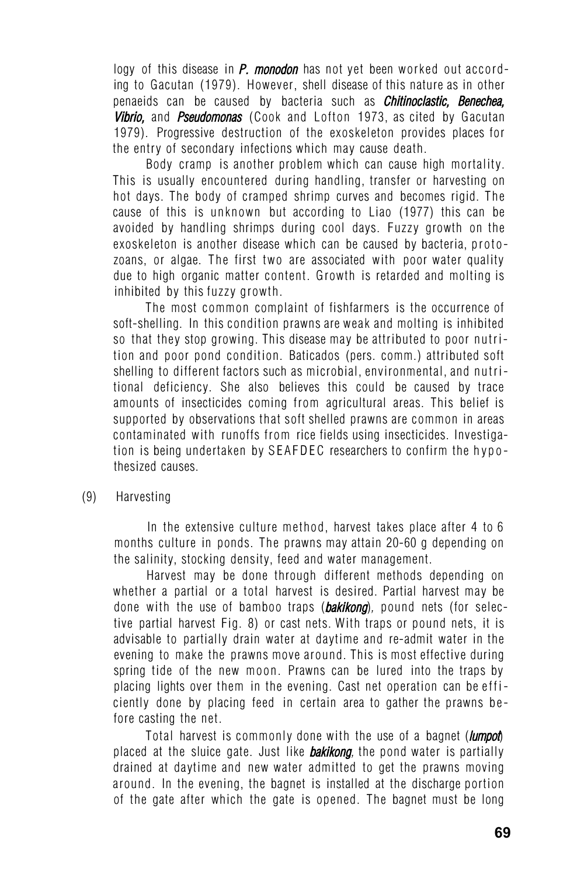logy of this disease in *P. monodon* has not yet been worked out according to Gacutan (1979). However, shell disease of this nature as in other penaeids can be caused by bacteria such as *Chitinoclastic, Benechea, Vibrio,* and *Pseudomonas* (Cook and Lofton 1973, as cited by Gacutan 1979). Progressive destruction of the exoskeleton provides places for the entry of secondary infections which may cause death.

Body cramp is another problem which can cause high mortality. This is usually encountered during handling, transfer or harvesting on hot days. The body of cramped shrimp curves and becomes rigid. The cause of this is unknown but according to Liao (1977) this can be avoided by handling shrimps during cool days. Fuzzy growth on the exoskeleton is another disease which can be caused by bacteria, protozoans, or algae. The first two are associated with poor water quality due to high organic matter content. Growth is retarded and molting is inhibited by this fuzzy growth.

The most common complaint of fishfarmers is the occurrence of soft-shelling. In this condition prawns are weak and molting is inhibited so that they stop growing. This disease may be attributed to poor nutrition and poor pond condition. Baticados (pers. comm.) attributed soft shelling to different factors such as microbial, environmental, and nutritional deficiency. She also believes this could be caused by trace amounts of insecticides coming from agricultural areas. This belief is supported by observations that soft shelled prawns are common in areas contaminated with runoffs from rice fields using insecticides. Investigation is being undertaken by SEAFDEC researchers to confirm the hypothesized causes.

#### (9) Harvesting

In the extensive culture method, harvest takes place after 4 to 6 months culture in ponds. The prawns may attain 20-60 g depending on the salinity, stocking density, feed and water management.

Harvest may be done through different methods depending on whether a partial or a total harvest is desired. Partial harvest may be done with the use of bamboo traps (*bakikong*)*,* pound nets (for selective partial harvest Fig. 8) or cast nets. With traps or pound nets, it is advisable to partially drain water at daytime and re-admit water in the evening to make the prawns move around. This is most effective during spring tide of the new moon. Prawns can be lured into the traps by placing lights over them in the evening. Cast net operation can be efficiently done by placing feed in certain area to gather the prawns before casting the net.

Total harvest is commonly done with the use of a bagnet (*lumpot*) placed at the sluice gate. Just like *bakikong,* the pond water is partially drained at daytime and new water admitted to get the prawns moving around. In the evening, the bagnet is installed at the discharge portion of the gate after which the gate is opened. The bagnet must be long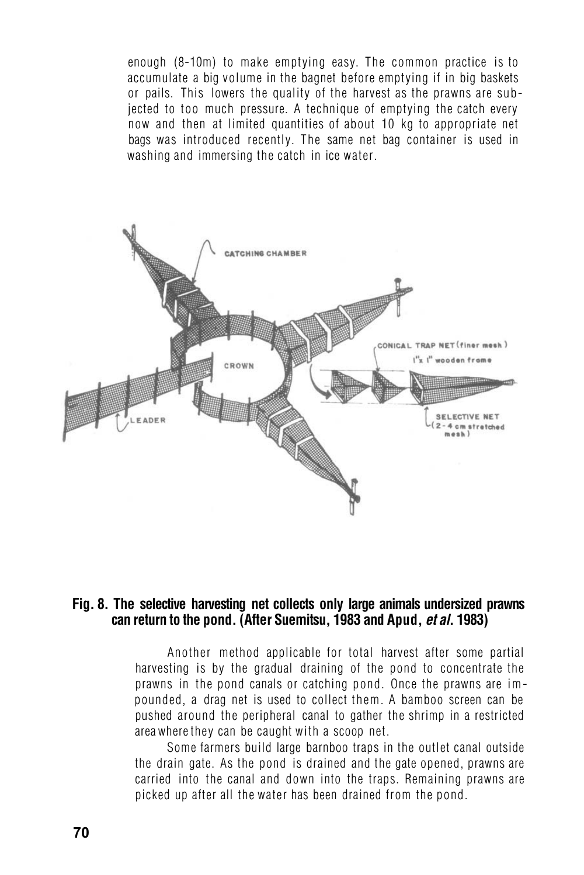enough (8-10m) to make emptying easy. The common practice is to accumulate a big volume in the bagnet before emptying if in big baskets or pails. This lowers the quality of the harvest as the prawns are subjected to too much pressure. A technique of emptying the catch every now and then at limited quantities of about 10 kg to appropriate net bags was introduced recently. The same net bag container is used in washing and immersing the catch in ice water.



#### **Fig. 8. The selective harvesting net collects only large animals undersized prawns can return to the pond. (After Suemitsu, 1983 and Apud,** *et al***. 1983)**

Another method applicable for total harvest after some partial harvesting is by the gradual draining of the pond to concentrate the prawns in the pond canals or catching pond. Once the prawns are impounded, a drag net is used to collect them. A bamboo screen can be pushed around the peripheral canal to gather the shrimp in a restricted area where they can be caught with a scoop net.

Some farmers build large barnboo traps in the outlet canal outside the drain gate. As the pond is drained and the gate opened, prawns are carried into the canal and down into the traps. Remaining prawns are picked up after all the water has been drained from the pond.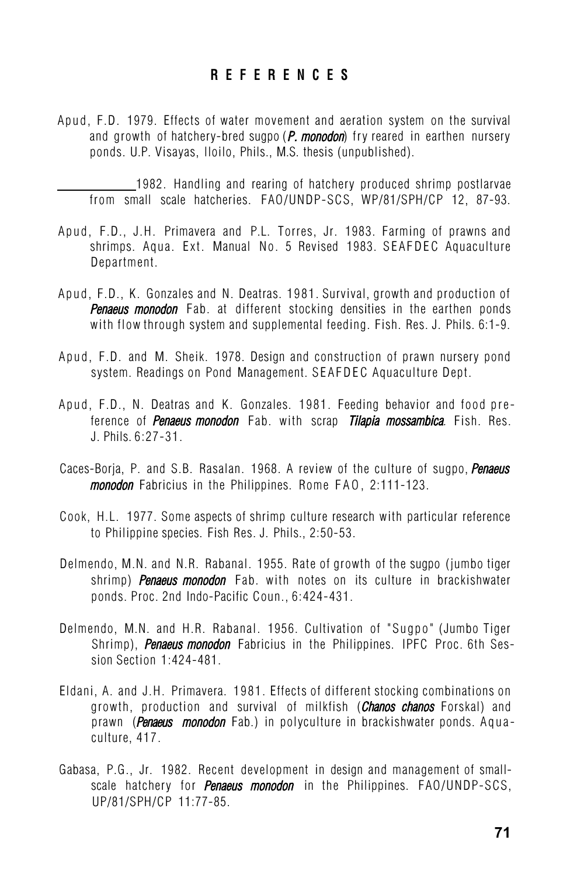## **R E F E R E N C E S**

Apud, F.D. 1979. Effects of water movement and aeration system on the survival and growth of hatchery-bred sugpo (*P. monodon*) fry reared in earthen nursery ponds. U.P. Visayas, lloilo, Phils., M.S. thesis (unpublished).

1982. Handling and rearing of hatchery produced shrimp postlarvae from small scale hatcheries. FAO/UNDP-SCS, WP/81/SPH/CP 12, 87-93.

- Apud, F.D., J.H. Primavera and P.L. Torres, Jr. 1983. Farming of prawns and shrimps. Aqua. Ext. Manual No. 5 Revised 1983. SEAFDEC Aquaculture Department.
- Apud, F.D., K. Gonzales and N. Deatras. 1981. Survival, growth and production of *Penaeus monodon* Fab. at different stocking densities in the earthen ponds with flow through system and supplemental feeding. Fish. Res. J. Phils. 6:1-9.
- Apud, F.D. and M. Sheik. 1978. Design and construction of prawn nursery pond system. Readings on Pond Management. SEAFDEC Aquaculture Dept.
- Apud, F.D., N. Deatras and K. Gonzales. 1981. Feeding behavior and food preference of *Penaeus monodon* Fab. with scrap *Tilapia mossambica.* Fish. Res. J. Phils. 6:27-31.
- Caces-Borja, P. and S.B. Rasalan. 1968. A review of the culture of sugpo, *Penaeus monodon* Fabricius in the Philippines. Rome FAO, 2:111-123.
- Cook, H.L. 1977. Some aspects of shrimp culture research with particular reference to Philippine species. Fish Res. J. Phils., 2:50-53.
- Delmendo, M.N. and N.R. Rabanal. 1955. Rate of growth of the sugpo (jumbo tiger shrimp) *Penaeus monodon* Fab. with notes on its culture in brackishwater ponds. Proc. 2nd Indo-Pacific Coun., 6:424-431.
- Delmendo, M.N. and H.R. Rabanal. 1956. Cultivation of "Sugpo" (Jumbo Tiger Shrimp), *Penaeus monodon* Fabricius in the Philippines. IPFC Proc. 6th Session Section 1:424-481.
- Eldani, A. and J.H. Primavera. 1981. Effects of different stocking combinations on growth, production and survival of milkfish (*Chanos chanos* Forskal) and prawn (*Penaeus monodon* Fab.) in polyculture in brackishwater ponds. Aquaculture, 417.
- Gabasa, P.G., Jr. 1982. Recent development in design and management of smallscale hatchery for *Penaeus monodon* in the Philippines. FAO/UNDP-SCS, UP/81/SPH/CP 11:77-85.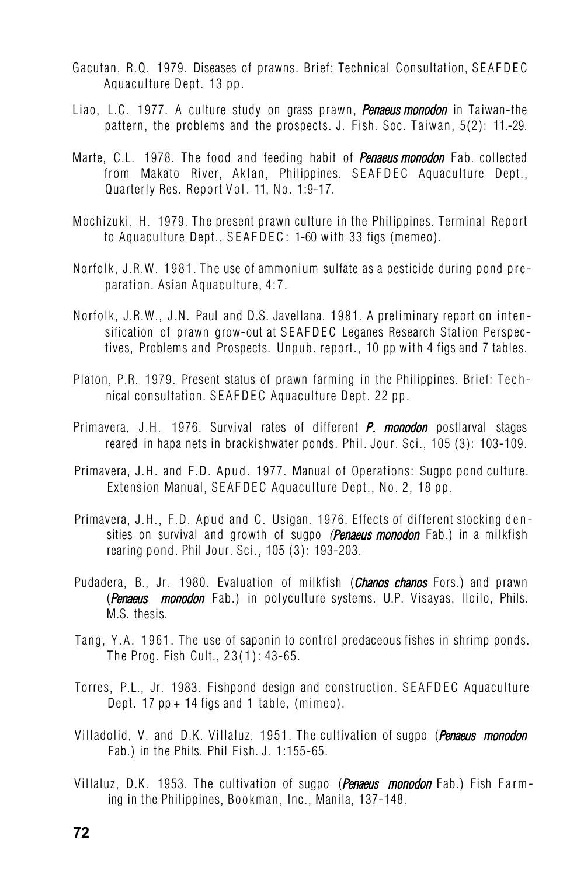- Gacutan, R.Q. 1979. Diseases of prawns. Brief: Technical Consultation, SEAFDEC Aquaculture Dept. 13 pp.
- Liao, L.C. 1977. A culture study on grass prawn, *Penaeus monodon* in Taiwan-the pattern, the problems and the prospects. J. Fish. Soc. Taiwan, 5(2): 11.-29.
- Marte, C.L. 1978. The food and feeding habit of *Penaeus monodon* Fab. collected from Makato River, Aklan, Philippines. SEAFDEC Aquaculture Dept., Quarterly Res. Report Vol. 11, No. 1:9-17.
- Mochizuki, H. 1979. The present prawn culture in the Philippines. Terminal Report to Aquaculture Dept., SEAFDEC: 1-60 with 33 figs (memeo).
- Norfolk, J.R.W. 1981. The use of ammonium sulfate as a pesticide during pond preparation. Asian Aquaculture, 4:7.
- Norfolk, J.R.W., J.N. Paul and D.S. Javellana. 1981. A preliminary report on intensification of prawn grow-out at SEAFDEC Leganes Research Station Perspectives, Problems and Prospects. Unpub. report., 10 pp with 4 figs and 7 tables.
- Platon, P.R. 1979. Present status of prawn farming in the Philippines. Brief: Technical consultation. SEAFDEC Aquaculture Dept. 22 pp.
- Primavera, J.H. 1976. Survival rates of different *P. monodon* postlarval stages reared in hapa nets in brackishwater ponds. Phil. Jour. Sci., 105 (3): 103-109.
- Primavera, J.H. and F.D. Apud. 1977. Manual of Operations: Sugpo pond culture. Extension Manual, SEAFDEC Aquaculture Dept., No. 2, 18 pp.
- Primavera, J.H., F.D. Apud and C. Usigan. 1976. Effects of different stocking densities on survival and growth of sugpo *(Penaeus monodon* Fab.) in a milkfish rearing pond. Phil Jour. Sci., 105 (3): 193-203.
- Pudadera, B., Jr. 1980. Evaluation of milkfish (*Chanos chanos* Fors.) and prawn (*Penaeus monodon* Fab.) in polyculture systems. U.P. Visayas, lloilo, Phils. M.S. thesis.
- Tang, Y.A. 1961. The use of saponin to control predaceous fishes in shrimp ponds. The Prog. Fish Cult., 23(1): 43-65.
- Torres, P.L., Jr. 1983. Fishpond design and construction. SEAFDEC Aquaculture Dept. 17 pp + 14 figs and 1 table, (mimeo).
- Villadolid, V. and D.K. Villaluz. 1951. The cultivation of sugpo (*Penaeus monodon* Fab.) in the Phils. Phil Fish. J. 1:155-65.
- Villaluz, D.K. 1953. The cultivation of sugpo (*Penaeus monodon* Fab.) Fish Farming in the Philippines, Bookman, Inc., Manila, 137-148.